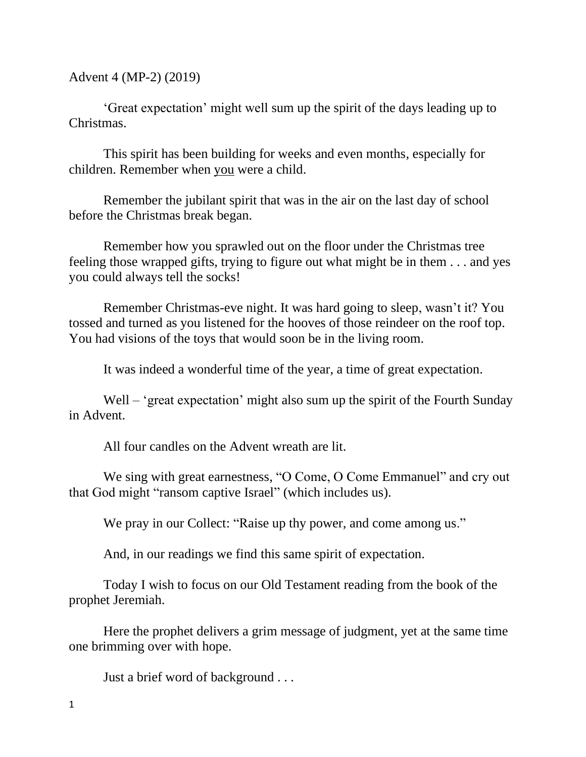Advent 4 (MP-2) (2019)

'Great expectation' might well sum up the spirit of the days leading up to Christmas.

This spirit has been building for weeks and even months, especially for children. Remember when you were a child.

Remember the jubilant spirit that was in the air on the last day of school before the Christmas break began.

Remember how you sprawled out on the floor under the Christmas tree feeling those wrapped gifts, trying to figure out what might be in them . . . and yes you could always tell the socks!

Remember Christmas-eve night. It was hard going to sleep, wasn't it? You tossed and turned as you listened for the hooves of those reindeer on the roof top. You had visions of the toys that would soon be in the living room.

It was indeed a wonderful time of the year, a time of great expectation.

Well – 'great expectation' might also sum up the spirit of the Fourth Sunday in Advent.

All four candles on the Advent wreath are lit.

We sing with great earnestness, "O Come, O Come Emmanuel" and cry out that God might "ransom captive Israel" (which includes us).

We pray in our Collect: "Raise up thy power, and come among us."

And, in our readings we find this same spirit of expectation.

Today I wish to focus on our Old Testament reading from the book of the prophet Jeremiah.

Here the prophet delivers a grim message of judgment, yet at the same time one brimming over with hope.

Just a brief word of background . . .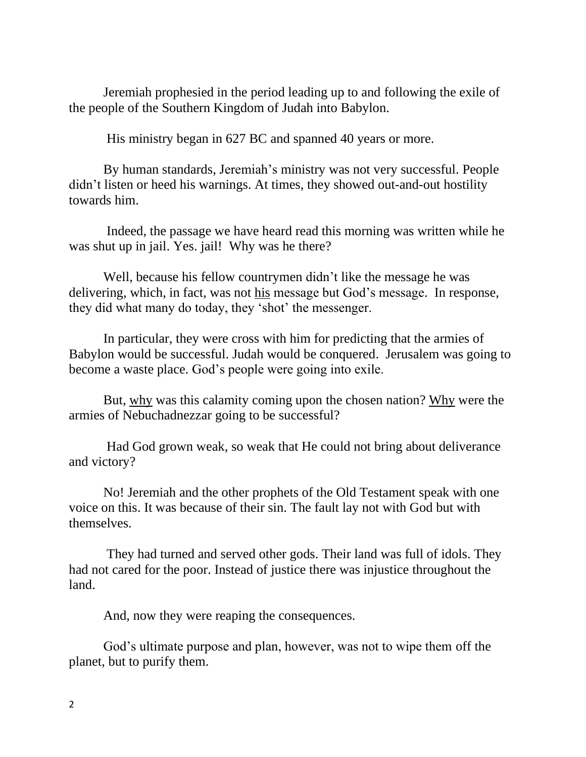Jeremiah prophesied in the period leading up to and following the exile of the people of the Southern Kingdom of Judah into Babylon.

His ministry began in 627 BC and spanned 40 years or more.

By human standards, Jeremiah's ministry was not very successful. People didn't listen or heed his warnings. At times, they showed out-and-out hostility towards him.

Indeed, the passage we have heard read this morning was written while he was shut up in jail. Yes. jail! Why was he there?

Well, because his fellow countrymen didn't like the message he was delivering, which, in fact, was not his message but God's message. In response, they did what many do today, they 'shot' the messenger.

In particular, they were cross with him for predicting that the armies of Babylon would be successful. Judah would be conquered. Jerusalem was going to become a waste place. God's people were going into exile.

But, why was this calamity coming upon the chosen nation? Why were the armies of Nebuchadnezzar going to be successful?

Had God grown weak, so weak that He could not bring about deliverance and victory?

No! Jeremiah and the other prophets of the Old Testament speak with one voice on this. It was because of their sin. The fault lay not with God but with themselves.

They had turned and served other gods. Their land was full of idols. They had not cared for the poor. Instead of justice there was injustice throughout the land.

And, now they were reaping the consequences.

God's ultimate purpose and plan, however, was not to wipe them off the planet, but to purify them.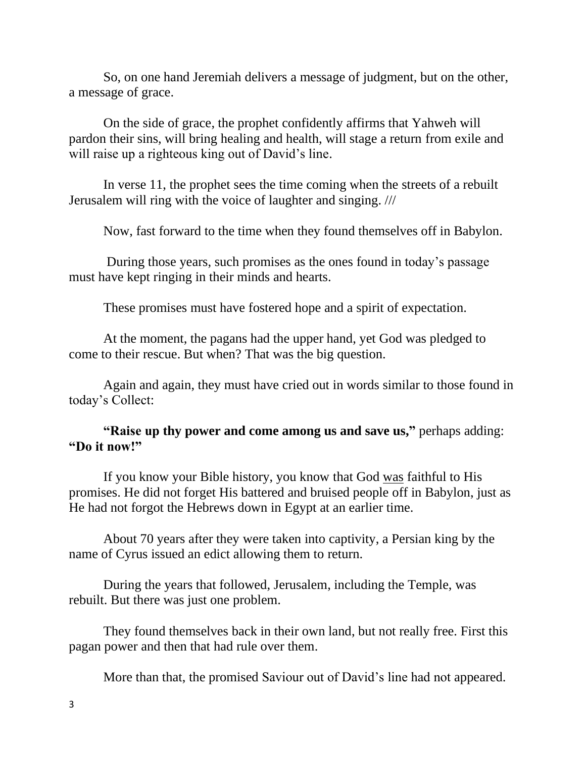So, on one hand Jeremiah delivers a message of judgment, but on the other, a message of grace.

On the side of grace, the prophet confidently affirms that Yahweh will pardon their sins, will bring healing and health, will stage a return from exile and will raise up a righteous king out of David's line.

In verse 11, the prophet sees the time coming when the streets of a rebuilt Jerusalem will ring with the voice of laughter and singing. ///

Now, fast forward to the time when they found themselves off in Babylon.

During those years, such promises as the ones found in today's passage must have kept ringing in their minds and hearts.

These promises must have fostered hope and a spirit of expectation.

At the moment, the pagans had the upper hand, yet God was pledged to come to their rescue. But when? That was the big question.

Again and again, they must have cried out in words similar to those found in today's Collect:

**"Raise up thy power and come among us and save us,"** perhaps adding: **"Do it now!"**

If you know your Bible history, you know that God was faithful to His promises. He did not forget His battered and bruised people off in Babylon, just as He had not forgot the Hebrews down in Egypt at an earlier time.

About 70 years after they were taken into captivity, a Persian king by the name of Cyrus issued an edict allowing them to return.

During the years that followed, Jerusalem, including the Temple, was rebuilt. But there was just one problem.

They found themselves back in their own land, but not really free. First this pagan power and then that had rule over them.

More than that, the promised Saviour out of David's line had not appeared.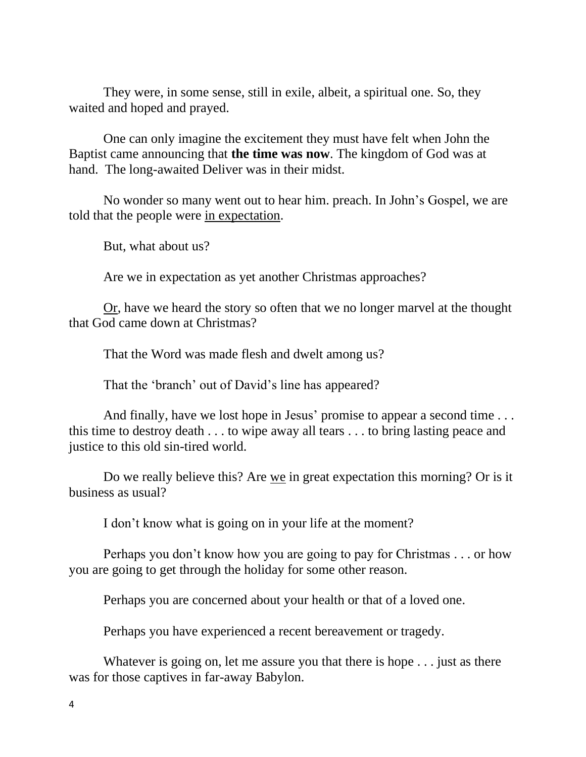They were, in some sense, still in exile, albeit, a spiritual one. So, they waited and hoped and prayed.

One can only imagine the excitement they must have felt when John the Baptist came announcing that **the time was now**. The kingdom of God was at hand. The long-awaited Deliver was in their midst.

No wonder so many went out to hear him. preach. In John's Gospel, we are told that the people were in expectation.

But, what about us?

Are we in expectation as yet another Christmas approaches?

Or, have we heard the story so often that we no longer marvel at the thought that God came down at Christmas?

That the Word was made flesh and dwelt among us?

That the 'branch' out of David's line has appeared?

And finally, have we lost hope in Jesus' promise to appear a second time ... this time to destroy death . . . to wipe away all tears . . . to bring lasting peace and justice to this old sin-tired world.

Do we really believe this? Are we in great expectation this morning? Or is it business as usual?

I don't know what is going on in your life at the moment?

Perhaps you don't know how you are going to pay for Christmas . . . or how you are going to get through the holiday for some other reason.

Perhaps you are concerned about your health or that of a loved one.

Perhaps you have experienced a recent bereavement or tragedy.

Whatever is going on, let me assure you that there is hope . . . just as there was for those captives in far-away Babylon.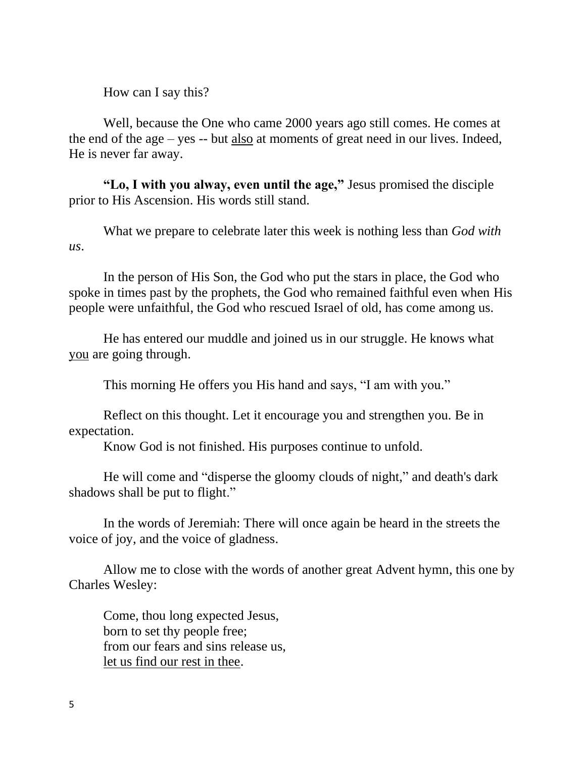How can I say this?

Well, because the One who came 2000 years ago still comes. He comes at the end of the age – yes -- but also at moments of great need in our lives. Indeed, He is never far away.

**"Lo, I with you alway, even until the age,"** Jesus promised the disciple prior to His Ascension. His words still stand.

What we prepare to celebrate later this week is nothing less than *God with us*.

In the person of His Son, the God who put the stars in place, the God who spoke in times past by the prophets, the God who remained faithful even when His people were unfaithful, the God who rescued Israel of old, has come among us.

He has entered our muddle and joined us in our struggle. He knows what you are going through.

This morning He offers you His hand and says, "I am with you."

Reflect on this thought. Let it encourage you and strengthen you. Be in expectation.

Know God is not finished. His purposes continue to unfold.

He will come and "disperse the gloomy clouds of night," and death's dark shadows shall be put to flight."

In the words of Jeremiah: There will once again be heard in the streets the voice of joy, and the voice of gladness.

Allow me to close with the words of another great Advent hymn, this one by Charles Wesley:

Come, thou long expected Jesus, born to set thy people free; from our fears and sins release us, let us find our rest in thee.